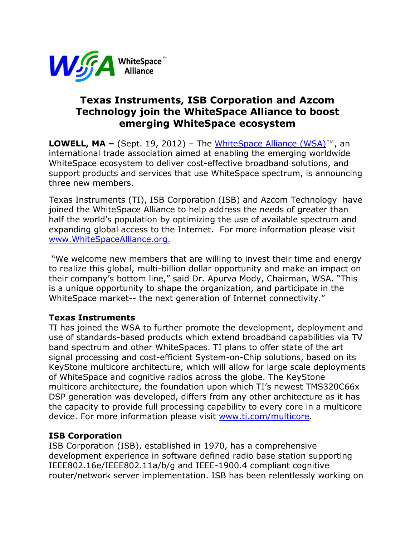

# **Texas Instruments, ISB Corporation and Azcom Technology join the WhiteSpace Alliance to boost emerging WhiteSpace ecosystem**

**LOWELL, MA –** (Sept. 19, 2012) – The [WhiteSpace Alliance](http://cts.businesswire.com/ct/CT?id=smartlink&url=http%3A%2F%2Fwww.whitespacealliance.org&esheet=50107806&lan=en-US&anchor=WhiteSpace+Alliance&index=1&md5=dc961dfb9d10975bc7075a94772ac5ba) (WSA)™, an international trade association aimed at enabling the emerging worldwide WhiteSpace ecosystem to deliver cost-effective broadband solutions, and support products and services that use WhiteSpace spectrum, is announcing three new members.

Texas Instruments (TI), ISB Corporation (ISB) and Azcom Technology have joined the WhiteSpace Alliance to help address the needs of greater than half the world's population by optimizing the use of available spectrum and expanding global access to the Internet. For more information please visit [www.WhiteSpaceAlliance.org.](http://www.whitespacealliance.org/)

"We welcome new members that are willing to invest their time and energy to realize this global, multi-billion dollar opportunity and make an impact on their company's bottom line," said Dr. Apurva Mody, Chairman, WSA. "This is a unique opportunity to shape the organization, and participate in the WhiteSpace market-- the next generation of Internet connectivity."

### **Texas Instruments**

TI has joined the WSA to further promote the development, deployment and use of standards-based products which extend broadband capabilities via TV band spectrum and other WhiteSpaces. TI plans to offer state of the art signal processing and cost-efficient System-on-Chip solutions, based on its KeyStone multicore architecture, which will allow for large scale deployments of WhiteSpace and cognitive radios across the globe. The KeyStone multicore architecture, the foundation upon which TI's newest TMS320C66x DSP generation was developed, differs from any other architecture as it has the capacity to provide full processing capability to every core in a multicore device. For more information please visit [www.ti.com/multicore.](http://www.ti.com/multicore)

### **ISB Corporation**

ISB Corporation (ISB), established in 1970, has a comprehensive development experience in software defined radio base station supporting IEEE802.16e/IEEE802.11a/b/g and IEEE-1900.4 compliant cognitive router/network server implementation. ISB has been relentlessly working on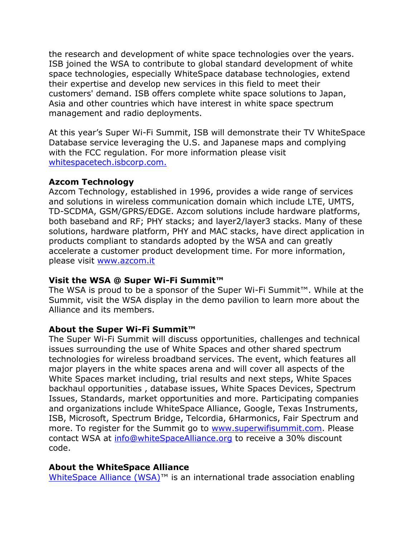the research and development of white space technologies over the years. ISB joined the WSA to contribute to global standard development of white space technologies, especially WhiteSpace database technologies, extend their expertise and develop new services in this field to meet their customers' demand. ISB offers complete white space solutions to Japan, Asia and other countries which have interest in white space spectrum management and radio deployments.

At this year's Super Wi-Fi Summit, ISB will demonstrate their TV WhiteSpace Database service leveraging the U.S. and Japanese maps and complying with the FCC regulation. For more information please visit [whitespacetech.isbcorp.com.](../../../../../../../Temp/Temporary%20Internet%20Files/Content.Outlook/8QOZU3L0/whitespacetech.isbcorp.com)

### **Azcom Technology**

Azcom Technology, established in 1996, provides a wide range of services and solutions in wireless communication domain which include LTE, UMTS, TD-SCDMA, GSM/GPRS/EDGE. Azcom solutions include hardware platforms, both baseband and RF; PHY stacks; and layer2/layer3 stacks. Many of these solutions, hardware platform, PHY and MAC stacks, have direct application in products compliant to standards adopted by the WSA and can greatly accelerate a customer product development time. For more information, please visit [www.azcom.it](http://www.azcom.it/)

### **Visit the WSA @ Super Wi-Fi Summit™**

The WSA is proud to be a sponsor of the Super Wi-Fi Summit™. While at the Summit, visit the WSA display in the demo pavilion to learn more about the Alliance and its members.

### **About the Super Wi-Fi Summit™**

The Super Wi-Fi Summit will discuss opportunities, challenges and technical issues surrounding the use of White Spaces and other shared spectrum technologies for wireless broadband services. The event, which features all major players in the white spaces arena and will cover all aspects of the White Spaces market including, trial results and next steps, White Spaces backhaul opportunities , database issues, White Spaces Devices, Spectrum Issues, Standards, market opportunities and more. Participating companies and organizations include WhiteSpace Alliance, Google, Texas Instruments, ISB, Microsoft, Spectrum Bridge, Telcordia, 6Harmonics, Fair Spectrum and more. To register for the Summit go to [www.superwifisummit.com.](http://www.superwifisummit.com/) Please contact WSA at [info@whiteSpaceAlliance.org](mailto:info@whiteSpaceAlliance.org) to receive a 30% discount code.

### **About the WhiteSpace Alliance**

[WhiteSpace Alliance](http://cts.businesswire.com/ct/CT?id=smartlink&url=http%3A%2F%2Fwww.whitespacealliance.org&esheet=50107806&lan=en-US&anchor=WhiteSpace+Alliance&index=1&md5=dc961dfb9d10975bc7075a94772ac5ba) (WSA)<sup>™</sup> is an international trade association enabling